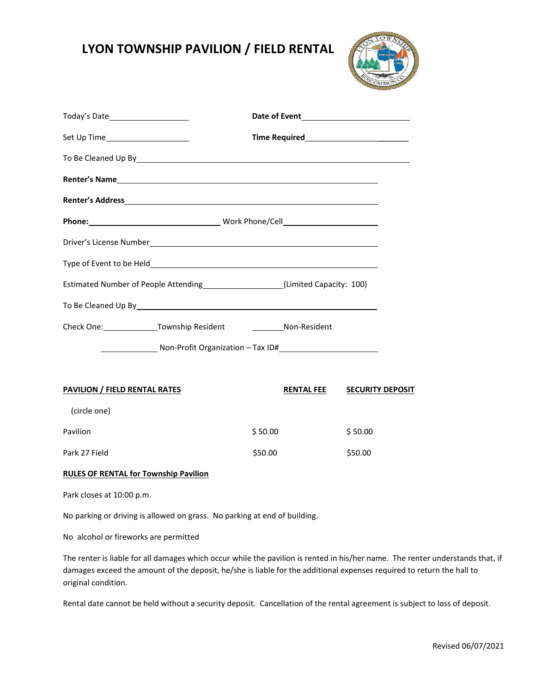## **LYON TOWNSHIP PAVILION / FIELD RENTAL**



| Set Up Time______________________                                                                                 |                   |                         |  |
|-------------------------------------------------------------------------------------------------------------------|-------------------|-------------------------|--|
|                                                                                                                   |                   |                         |  |
|                                                                                                                   |                   |                         |  |
|                                                                                                                   |                   |                         |  |
|                                                                                                                   |                   |                         |  |
|                                                                                                                   |                   |                         |  |
|                                                                                                                   |                   |                         |  |
| Estimated Number of People Attending [100] (Limited Capacity: 100)                                                |                   |                         |  |
| To Be Cleaned Up By Samuel Communication of the Cleaner Communication of the Cleaner Communication of the Cleaner |                   |                         |  |
|                                                                                                                   |                   |                         |  |
| Non-Profit Organization - Tax ID#                                                                                 |                   |                         |  |
|                                                                                                                   |                   |                         |  |
| <b>PAVILION / FIELD RENTAL RATES</b>                                                                              | <b>RENTAL FEE</b> | <b>SECURITY DEPOSIT</b> |  |
| (circle one)                                                                                                      |                   |                         |  |
| Pavilion                                                                                                          | \$50.00           | \$50.00                 |  |

## **RULES OF RENTAL for Township Pavilion**

Park closes at 10:00 p.m.

No parking or driving is allowed on grass. No parking at end of building.

Park 27 Field \$50.00 \$50.00

No alcohol or fireworks are permitted

The renter is liable for all damages which occur while the pavilion is rented in his/her name. The renter understands that, if damages exceed the amount of the deposit, he/she is liable for the additional expenses required to return the hall to original condition.

Rental date cannot be held without a security deposit. Cancellation of the rental agreement is subject to loss of deposit.